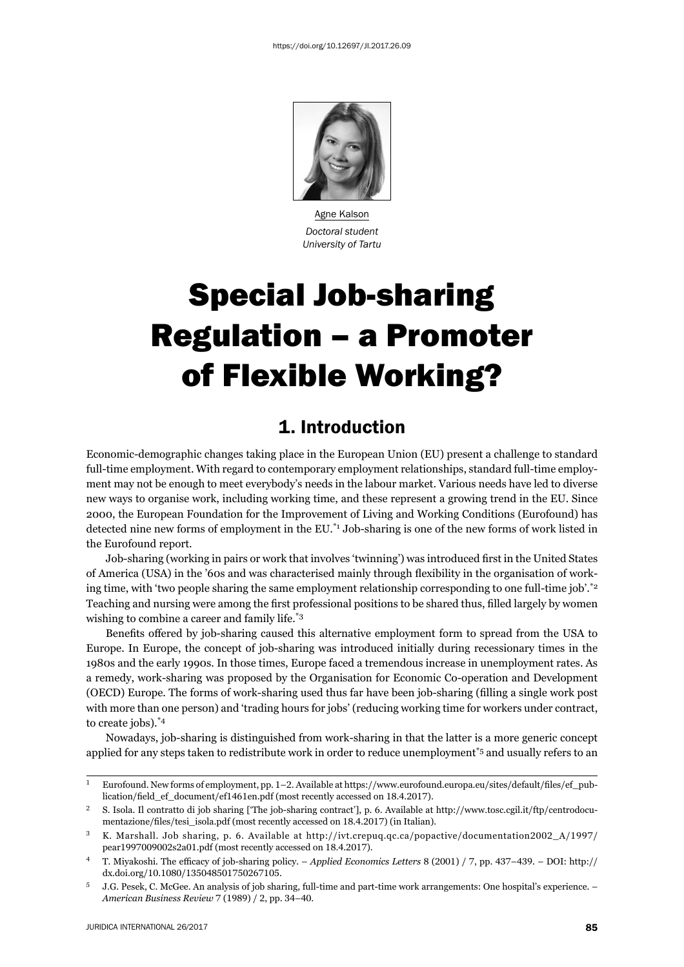

Agne Kalson *Doctoral student University of Tartu*

# Special Job-sharing Regulation – a Promoter of Flexible Working?

#### 1. Introduction

Economic-demographic changes taking place in the European Union (EU) present a challenge to standard full-time employment. With regard to contemporary employment relationships, standard full-time employment may not be enough to meet everybody's needs in the labour market. Various needs have led to diverse new ways to organise work, including working time, and these represent a growing trend in the EU. Since 2000, the European Foundation for the Improvement of Living and Working Conditions (Eurofound) has detected nine new forms of employment in the EU.<sup>\*1</sup> Job-sharing is one of the new forms of work listed in the Eurofound report.

Job-sharing (working in pairs or work that involves 'twinning') was introduced first in the United States of America (USA) in the '60s and was characterised mainly through flexibility in the organisation of working time, with 'two people sharing the same employment relationship corresponding to one full-time job'.\*2 Teaching and nursing were among the first professional positions to be shared thus, filled largely by women wishing to combine a career and family life.\*3

Benefits offered by job-sharing caused this alternative employment form to spread from the USA to Europe. In Europe, the concept of job-sharing was introduced initially during reces sionary times in the 1980s and the early 1990s. In those times, Europe faced a tremendous increase in unemployment rates. As a remedy, work-sharing was proposed by the Organisation for Economic Co-operation and Development (OECD) Europe. The forms of work-sharing used thus far have been job-sharing (filling a single work post with more than one person) and 'trading hours for jobs' (reducing working time for workers under contract, to create jobs).\*4

Nowadays, job-sharing is distinguished from work-sharing in that the latter is a more generic concept applied for any steps taken to redistribute work in order to reduce unemployment\*5 and usually refers to an

<sup>&</sup>lt;sup>1</sup> Eurofound. New forms of employment, pp. 1-2. Available at https://www.eurofound.europa.eu/sites/default/files/ef\_publication/field\_ef\_document/ef1461en.pdf (most recently accessed on 18.4.2017).

<sup>&</sup>lt;sup>2</sup> S. Isola. Il contratto di job sharing ['The job-sharing contract'], p. 6. Available at http://www.tosc.cgil.it/ftp/centrodocumentazione/files/tesi\_isola.pdf (most recently accessed on 18.4.2017) (in Italian).

<sup>&</sup>lt;sup>3</sup> K. Marshall. Job sharing, p. 6. Available at http://ivt.crepuq.qc.ca/popactive/documentation2002\_A/1997/ pear1997009002s2a01.pdf (most recently accessed on 18.4.2017).

<sup>&</sup>lt;sup>4</sup> T. Miyakoshi. The efficacy of job-sharing policy. – *Applied Economics Letters* 8 (2001) / 7, pp. 437–439. – DOI: http:// dx.doi.org/10.1080/135048501750267105.

<sup>ɶ</sup> J.G. Pesek, C. McGee. An analysis of job sharing, full-time and part-time work arrangements: One hospital's experience. – *American Business Review*  $7(1989) / 2$ , pp. 34-40.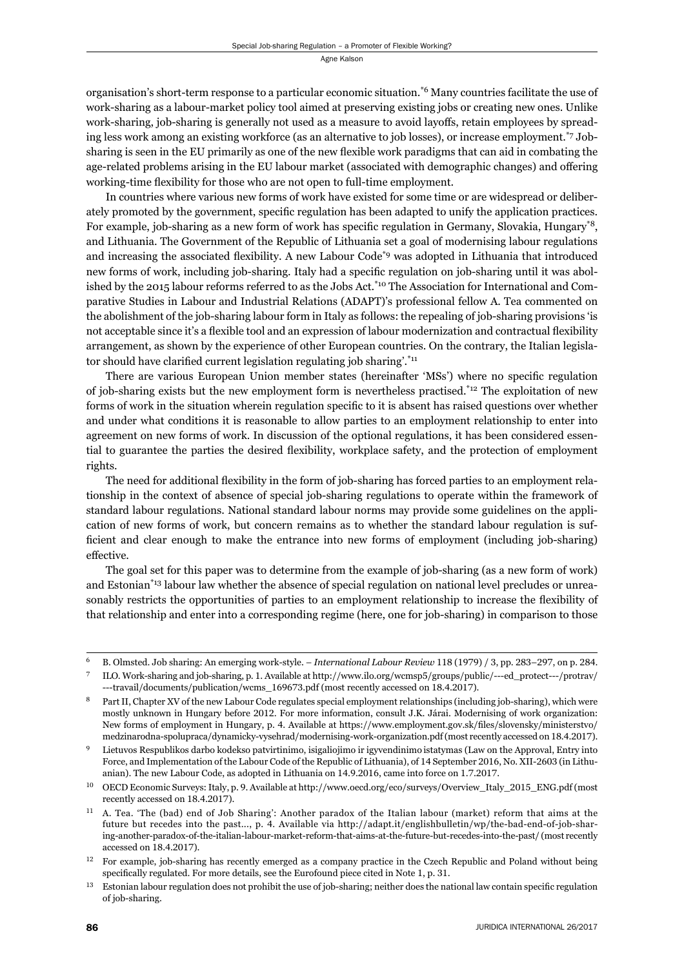organisation's short-term response to a particular economic situation.\*6 Many countries facilitate the use of work-sharing as a labour-market policy tool aimed at preserving existing jobs or creating new ones. Unlike work-sharing, job-sharing is generally not used as a measure to avoid layoffs, retain employees by spreading less work among an existing workforce (as an alternative to job losses), or increase employment.\*7 Jobsharing is seen in the EU primarily as one of the new flexible work paradigms that can aid in combating the age-related problems arising in the EU labour market (associated with demographic changes) and offering working-time flexibility for those who are not open to full-time employment.

In countries where various new forms of work have existed for some time or are widespread or deliberately promoted by the government, specific regulation has been adapted to unify the application practices. For example, job-sharing as a new form of work has specific regulation in Germany, Slovakia, Hungary<sup>\*8</sup>, and Lithuania. The Government of the Republic of Lithuania set a goal of modernising labour regulations and increasing the associated flexibility. A new Labour Code<sup>\*9</sup> was adopted in Lithuania that introduced new forms of work, including job-sharing. Italy had a specific regulation on job-sharing until it was abolished by the 2015 labour reforms referred to as the Jobs Act.<sup>\*10</sup> The Association for International and Comparative Studies in Labour and Industrial Relations (ADAPT)'s professional fellow A. Tea commented on the abolishment of the job-sharing labour form in Italy as follows: the repealing of job-sharing provisions 'is not acceptable since it's a flexible tool and an expression of labour modernization and contractual flexibility arrangement, as shown by the experience of other European countries. On the contrary, the Italian legislator should have clarified current legislation regulating job sharing'. $i_{11}$ 

There are various European Union member states (hereinafter 'MSs') where no specifi c regulation of job-sharing exists but the new employment form is nevertheless practised.\*12 The exploitation of new forms of work in the situation wherein regulation specific to it is absent has raised questions over whether and under what conditions it is reasonable to allow parties to an employment relationship to enter into agreement on new forms of work. In discussion of the optional regulations, it has been considered essential to guarantee the parties the desired flexibility, workplace safety, and the protection of employment rights.

The need for additional flexibility in the form of job-sharing has forced parties to an employment relationship in the context of absence of special job-sharing regulations to operate within the framework of standard labour regulations. National standard labour norms may provide some guidelines on the application of new forms of work, but concern remains as to whether the standard labour regulation is sufficient and clear enough to make the entrance into new forms of employment (including job-sharing) effective.

The goal set for this paper was to determine from the example of job-sharing (as a new form of work) and Estonian<sup>\*13</sup> labour law whether the absence of special regulation on national level precludes or unreasonably restricts the opportunities of parties to an employment relationship to increase the flexibility of that relationship and enter into a corresponding regime (here, one for job-sharing) in comparison to those

<sup>&</sup>lt;sup>6</sup> B. Olmsted. Job sharing: An emerging work-style. – *International Labour Review* 118 (1979) / 3, pp. 283–297, on p. 284.

ILO. Work-sharing and job-sharing, p. 1. Available at http://www.ilo.org/wcmsp5/groups/public/---ed\_protect---/protrav/ ---travail/documents/publication/wcms 169673.pdf (most recently accessed on 18.4.2017).

Part II, Chapter XV of the new Labour Code regulates special employment relationships (including job-sharing), which were mostly unknown in Hungary before 2012. For more information, consult J.K. Járai. Modernising of work organization: New forms of employment in Hungary, p. 4. Available at https://www.employment.gov.sk/files/slovensky/ministerstvo/ medzinarodna-spolupraca/dynamicky-vysehrad/modernising-work-organization.pdf (most recently accessed on 18.4.2017).

<sup>ɺ</sup> Lietuvos Respublikos darbo kodekso patvirtinimo, isigaliojimo ir igyvendinimo istatymas (Law on the Approval, Entry into Force, and Implementation of the Labour Code of the Republic of Lithuania), of 14 September 2016, No. XII-2603 (in Lithuanian). The new Labour Code, as adopted in Lithuania on 14.9.2016, came into force on 1.7.2017.

OECD Economic Surveys: Italy, p. 9. Available at http://www.oecd.org/eco/surveys/Overview\_Italy\_2015\_ENG.pdf (most recently accessed on 18.4.2017).

<sup>&</sup>lt;sup>11</sup> A. Tea. 'The (bad) end of Job Sharing': Another paradox of the Italian labour (market) reform that aims at the future but recedes into the past..., p. 4. Available via http://adapt.it/englishbulletin/wp/the-bad-end-of-job-sharing-another-paradox-of-the-italian-labour-market-reform-that-aims-at-the-future-but-recedes-into-the-past/ (most recently accessed on 18.4.2017).

 $12$  For example, job-sharing has recently emerged as a company practice in the Czech Republic and Poland without being specifically regulated. For more details, see the Eurofound piece cited in Note 1, p. 31.

 $13$  Estonian labour regulation does not prohibit the use of job-sharing; neither does the national law contain specific regulation of job-sharing.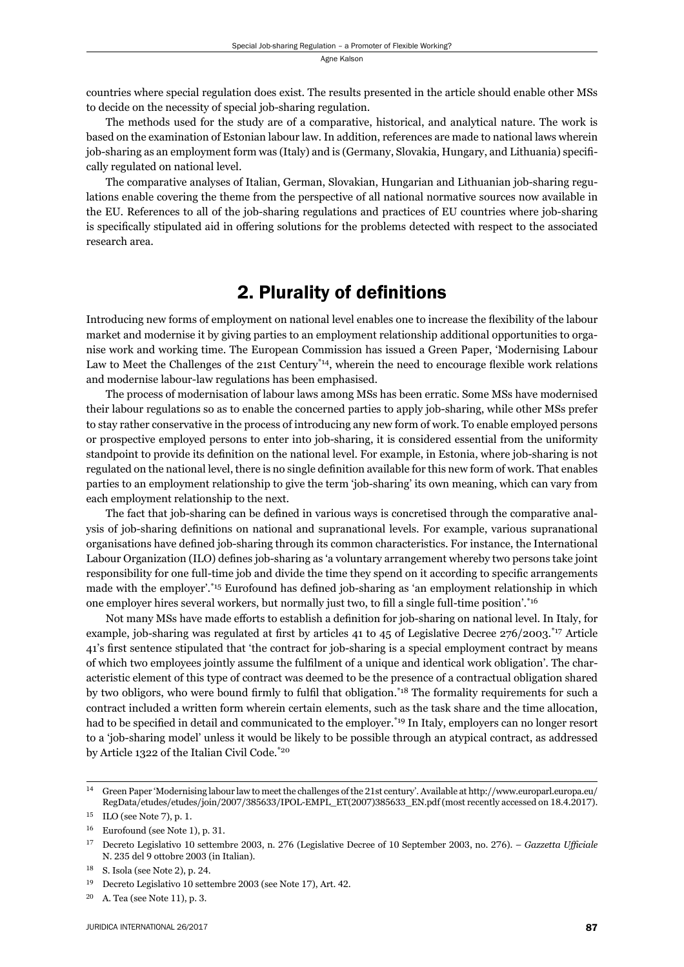countries where special regulation does exist. The results presented in the article should enable other MSs to decide on the necessity of special job-sharing regulation.

The methods used for the study are of a comparative, historical, and analytical nature. The work is based on the examination of Estonian labour law. In addition, references are made to national laws wherein job-sharing as an employment form was (Italy) and is (Germany, Slovakia, Hungary, and Lithuania) specifi cally regulated on national level.

The comparative analyses of Italian, German, Slovakian, Hungarian and Lithuanian job-sharing regulations enable covering the theme from the perspective of all national normative sources now available in the EU. References to all of the job-sharing regulations and practices of EU countries where job-sharing is specifically stipulated aid in offering solutions for the problems detected with respect to the associated research area.

#### 2. Plurality of definitions

Introducing new forms of employment on national level enables one to increase the flexibility of the labour market and modernise it by giving parties to an employment relationship additional opportunities to organise work and working time. The European Commission has issued a Green Paper, 'Modernising Labour Law to Meet the Challenges of the 21st Century<sup>\*14</sup>, wherein the need to encourage flexible work relations and modernise labour-law regulations has been emphasised.

The process of modernisation of labour laws among MSs has been erratic. Some MSs have modernised their labour regulations so as to enable the concerned parties to apply job-sharing, while other MSs prefer to stay rather conservative in the process of introducing any new form of work. To enable employed persons or prospective employed persons to enter into job-sharing, it is considered essential from the uniformity standpoint to provide its definition on the national level. For example, in Estonia, where job-sharing is not regulated on the national level, there is no single definition available for this new form of work. That enables parties to an employment relationship to give the term 'job-sharing' its own meaning, which can vary from each employment relationship to the next.

The fact that job-sharing can be defined in various ways is concretised through the comparative analysis of job-sharing definitions on national and supranational levels. For example, various supranational organisations have defined job-sharing through its common characteristics. For instance, the International Labour Organization (ILO) defines job-sharing as 'a voluntary arrangement whereby two persons take joint responsibility for one full-time job and divide the time they spend on it according to specific arrangements made with the employer'.<sup>\*15</sup> Eurofound has defined job-sharing as 'an employment relationship in which one employer hires several workers, but normally just two, to fill a single full-time position'.\*16

Not many MSs have made efforts to establish a definition for job-sharing on national level. In Italy, for example, job-sharing was regulated at first by articles 41 to 45 of Legislative Decree 276/2003.<sup>\*17</sup> Article 41's first sentence stipulated that 'the contract for job-sharing is a special employment contract by means of which two employees jointly assume the fulfilment of a unique and identical work obligation'. The characteristic element of this type of contract was deemed to be the presence of a contractual obligation shared by two obligors, who were bound firmly to fulfil that obligation.<sup>\*18</sup> The formality requirements for such a contract included a written form wherein certain elements, such as the task share and the time allocation, had to be specified in detail and communicated to the employer.<sup>\*19</sup> In Italy, employers can no longer resort to a 'job-sharing model' unless it would be likely to be possible through an atypical contract, as addressed by Article 1322 of the Italian Civil Code.\*20

<sup>&</sup>lt;sup>14</sup> Green Paper 'Modernising labour law to meet the challenges of the 21st century'. Available at http://www.europarl.europa.eu/ RegData/etudes/etudes/join/2007/385633/IPOL-EMPL\_ET(2007)385633\_EN.pdf (most recently accessed on 18.4.2017).

 $^{15}\;$  ILO (see Note 7), p. 1.

 $16$  Eurofound (see Note 1), p. 31.

<sup>&</sup>lt;sup>17</sup> Decreto Legislativo 10 settembre 2003, n. 276 (Legislative Decree of 10 September 2003, no. 276). – *Gazzetta Ufficiale* N. 235 del 9 ottobre 2003 (in Italian).

 $18$  S. Isola (see Note 2), p. 24.

<sup>&</sup>lt;sup>19</sup> Decreto Legislativo 10 settembre 2003 (see Note 17), Art. 42.

 $20$  A. Tea (see Note 11), p. 3.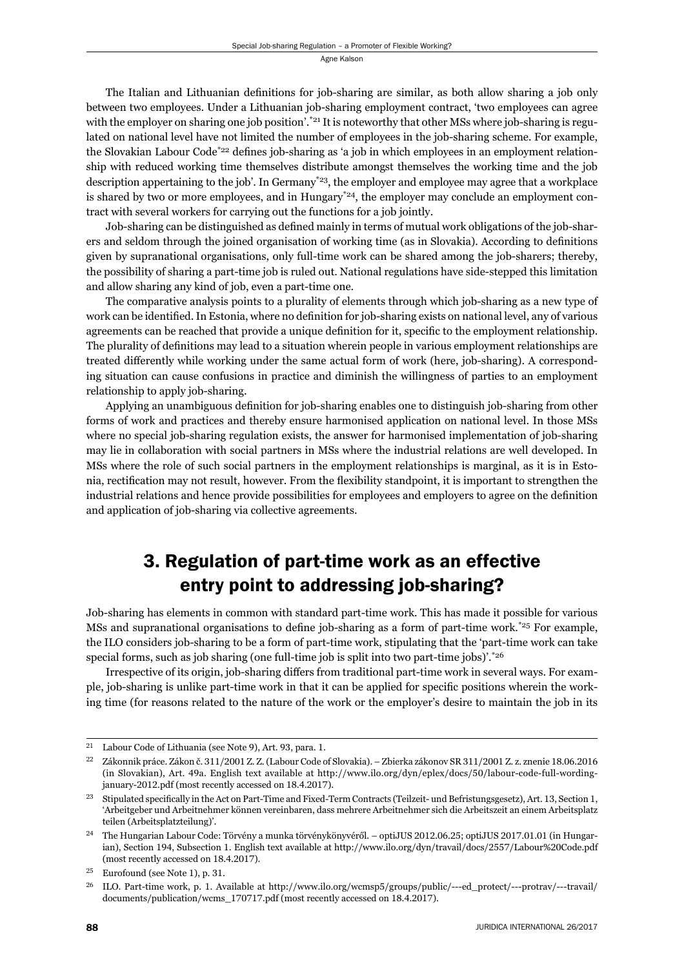The Italian and Lithuanian definitions for job-sharing are similar, as both allow sharing a job only between two employees. Under a Lithuanian job-sharing employment contract, 'two employees can agree with the employer on sharing one job position'.<sup>\*21</sup> It is noteworthy that other MSs where job-sharing is regulated on national level have not limited the number of employees in the job-sharing scheme. For example, the Slovakian Labour Code<sup>\*22</sup> defines job-sharing as 'a job in which employees in an employment relationship with reduced working time themselves distribute amongst themselves the working time and the job description appertaining to the job'. In Germany<sup>\*23</sup>, the employer and employee may agree that a workplace is shared by two or more employees, and in Hungary<sup>\*24</sup>, the employer may conclude an employment contract with several workers for carrying out the functions for a job jointly.

Job-sharing can be distinguished as defined mainly in terms of mutual work obligations of the job-sharers and seldom through the joined organisation of working time (as in Slovakia). According to definitions given by supranational organisations, only full-time work can be shared among the job-sharers; thereby, the possibility of sharing a part-time job is ruled out. National regulations have side-stepped this limitation and allow sharing any kind of job, even a part-time one.

The comparative analysis points to a plurality of elements through which job-sharing as a new type of work can be identified. In Estonia, where no definition for job-sharing exists on national level, any of various agreements can be reached that provide a unique definition for it, specific to the employment relationship. The plurality of definitions may lead to a situation wherein people in various employment relationships are treated differently while working under the same actual form of work (here, job-sharing). A corresponding situation can cause confusions in practice and diminish the willingness of parties to an employment relationship to apply job-sharing.

Applying an unambiguous definition for job-sharing enables one to distinguish job-sharing from other forms of work and practices and thereby ensure harmonised application on national level. In those MSs where no special job-sharing regulation exists, the answer for harmonised implementation of job-sharing may lie in collaboration with social partners in MSs where the industrial relations are well developed. In MSs where the role of such social partners in the employment relationships is marginal, as it is in Estonia, rectification may not result, however. From the flexibility standpoint, it is important to strengthen the industrial relations and hence provide possibilities for employees and employers to agree on the definition and application of job-sharing via collective agreements.

## 3. Regulation of part-time work as an effective entry point to addressing job-sharing?

Job-sharing has elements in common with standard part-time work. This has made it possible for various MSs and supranational organisations to define job-sharing as a form of part-time work.<sup>\*25</sup> For example, the ILO considers job-sharing to be a form of part-time work, stipulating that the 'part-time work can take special forms, such as job sharing (one full-time job is split into two part-time jobs)'. $*26$ 

Irrespective of its origin, job-sharing differs from traditional part-time work in several ways. For example, job-sharing is unlike part-time work in that it can be applied for specific positions wherein the working time (for reasons related to the nature of the work or the employer's desire to maintain the job in its

<sup>&</sup>lt;sup>21</sup> Labour Code of Lithuania (see Note 9), Art. 93, para. 1.

 $^{22}$  Zákonnik práce. Zákon č. 311/2001 Z. Z. (Labour Code of Slovakia). – Zbierka zákonov SR 311/2001 Z. z. znenie 18.06.2016 (in Slovakian), Art. 49a. English text available at http://www.ilo.org/dyn/eplex/docs/50/labour-code-full-wordingjanuary-2012.pdf (most recently accessed on 18.4.2017).

<sup>&</sup>lt;sup>23</sup> Stipulated specifically in the Act on Part-Time and Fixed-Term Contracts (Teilzeit- und Befristungsgesetz), Art. 13, Section 1, 'Arbeitgeber und Arbeitnehmer können vereinbaren, dass mehrere Arbeitnehmer sich die Arbeitszeit an einem Arbeitsplatz teilen (Arbeitsplatzteilung)'.

<sup>&</sup>lt;sup>24</sup> The Hungarian Labour Code: Törvény a munka törvénykönyvéről. – optiJUS 2012.06.25; optiJUS 2017.01.01 (in Hungarian), Section 194, Subsection 1. English text available at http://www.ilo.org/dyn/travail/docs/2557/Labour%20Code.pdf (most recently accessed on 18.4.2017).

<sup>&</sup>lt;sup>25</sup> Eurofound (see Note 1), p. 31.

 $^{26}$  ILO. Part-time work, p. 1. Available at http://www.ilo.org/wcmsp5/groups/public/---ed\_protect/---protrav/---travail/ documents/publication/wcms\_170717.pdf (most recently accessed on 18.4.2017).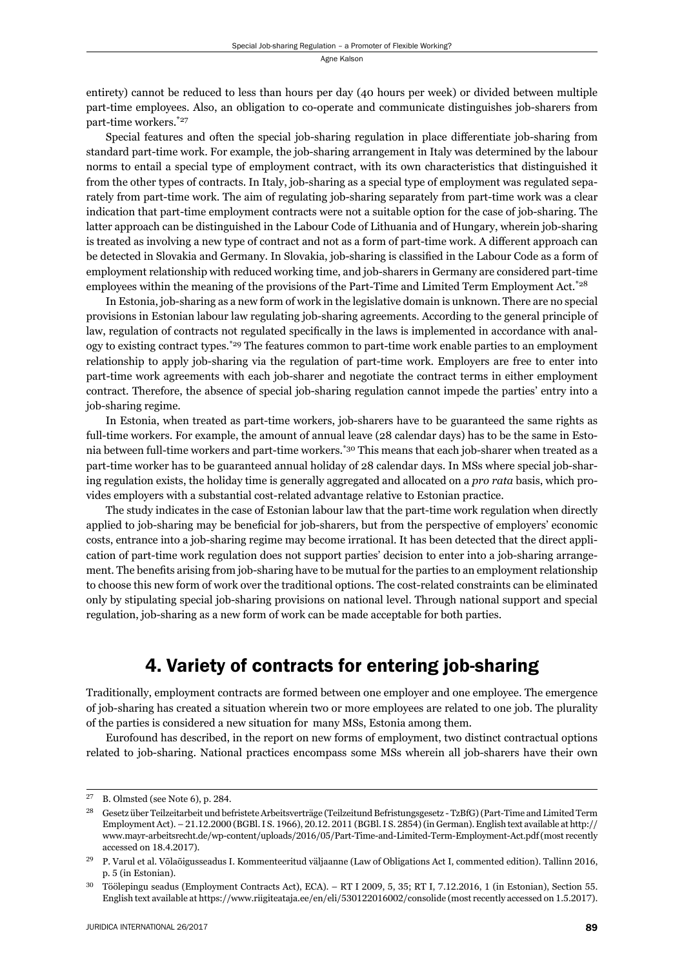entirety) cannot be reduced to less than hours per day (40 hours per week) or divided between multiple part-time employees. Also, an obligation to co-operate and communicate distinguishes job-sharers from part-time workers.\*27

Special features and often the special job-sharing regulation in place differentiate job-sharing from standard part-time work. For example, the job-sharing arrangement in Italy was determined by the labour norms to entail a special type of employment contract, with its own characteristics that distinguished it from the other types of contracts. In Italy, job-sharing as a special type of employment was regulated separately from part-time work. The aim of regulating job-sharing separately from part-time work was a clear indication that part-time employment contracts were not a suitable option for the case of job-sharing. The latter approach can be distinguished in the Labour Code of Lithuania and of Hungary, wherein job-sharing is treated as involving a new type of contract and not as a form of part-time work. A different approach can be detected in Slovakia and Germany. In Slovakia, job-sharing is classified in the Labour Code as a form of employment relationship with reduced working time, and job-sharers in Germany are considered part-time employees within the meaning of the provisions of the Part-Time and Limited Term Employment Act.<sup>\*28</sup>

In Estonia, job-sharing as a new form of work in the legislative domain is unknown. There are no special provisions in Estonian labour law regulating job-sharing agreements. According to the general principle of law, regulation of contracts not regulated specifically in the laws is implemented in accordance with analogy to existing contract types.\*29 The features common to part-time work enable parties to an employment relationship to apply job-sharing via the regulation of part-time work. Employers are free to enter into part-time work agreements with each job-sharer and negotiate the contract terms in either employment contract. Therefore, the absence of special job-sharing regulation cannot impede the parties' entry into a job-sharing regime.

In Estonia, when treated as part-time workers, job-sharers have to be guaranteed the same rights as full-time workers. For example, the amount of annual leave (28 calendar days) has to be the same in Estonia between full-time workers and part-time workers.\*30 This means that each job-sharer when treated as a part-time worker has to be guaranteed annual holiday of 28 calendar days. In MSs where special job-sharing regulation exists, the holiday time is generally aggregated and allocated on a *pro rata* basis, which provides employers with a substantial cost-related advantage relative to Estonian practice.

The study indicates in the case of Estonian labour law that the part-time work regulation when directly applied to job-sharing may be beneficial for job-sharers, but from the perspective of employers' economic costs, entrance into a job-sharing regime may become irrational. It has been detected that the direct application of part-time work regulation does not support parties' decision to enter into a job-sharing arrangement. The benefits arising from job-sharing have to be mutual for the parties to an employment relationship to choose this new form of work over the traditional options. The cost-related constraints can be eliminated only by stipulating special job-sharing provisions on national level. Through national support and special regulation, job-sharing as a new form of work can be made acceptable for both parties.

## 4. Variety of contracts for entering job-sharing

Traditionally, employment contracts are formed between one employer and one employee. The emergence of job-sharing has created a situation wherein two or more employees are related to one job. The plurality of the parties is considered a new situation for many MSs, Estonia among them.

Eurofound has described, in the report on new forms of employment, two distinct contractual options related to job-sharing. National practices encompass some MSs wherein all job-sharers have their own

 $27$  B. Olmsted (see Note 6), p. 284.

<sup>&</sup>lt;sup>28</sup> Gesetz über Teilzeitarbeit und befristete Arbeitsverträge (Teilzeitund Befristungsgesetz - TzBfG) (Part-Time and Limited Term Employment Act). – 21.12.2000 (BGBl. I S. 1966), 20.12. 2011 (BGBl. I S. 2854) (in German). English text available at http:// www.mayr-arbeitsrecht.de/wp-content/uploads/2016/05/Part-Time-and-Limited-Term-Employment-Act.pdf (most recently accessed on 18.4.2017).

<sup>&</sup>lt;sup>29</sup> P. Varul et al. Võlaõigusseadus I. Kommenteeritud väljaanne (Law of Obligations Act I, commented edition). Tallinn 2016, p. 5 (in Estonian).

<sup>&</sup>lt;sup>30</sup> Töölepingu seadus (Employment Contracts Act), ECA). – RT I 2009, 5, 35; RT I, 7.12.2016, 1 (in Estonian), Section 55. English text available at https://www.riigiteataja.ee/en/eli/530122016002/consolide (most recently accessed on 1.5.2017).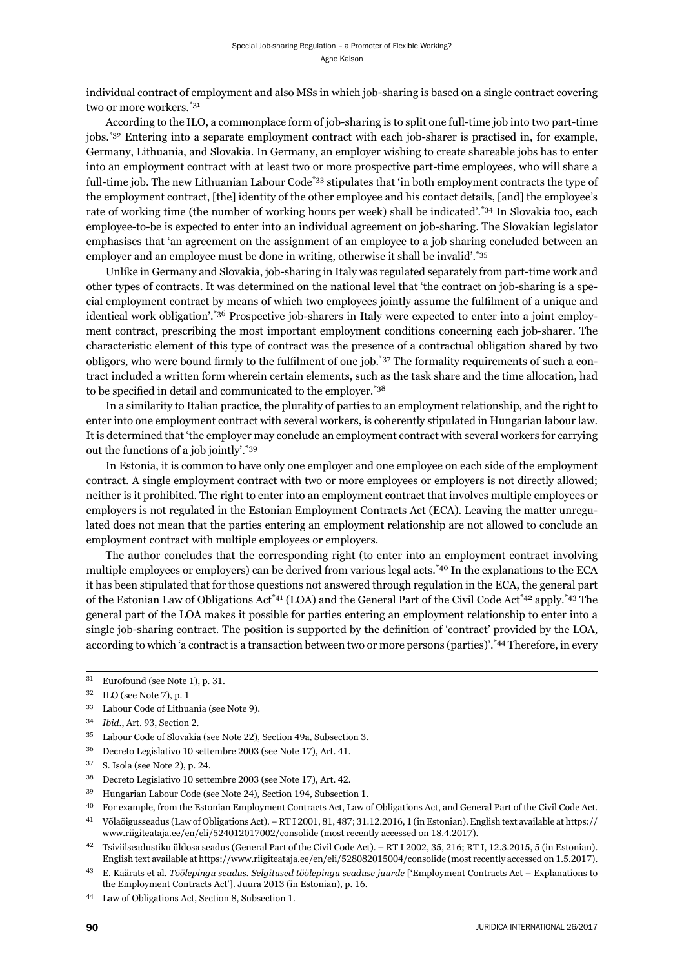individual contract of employment and also MSs in which job-sharing is based on a single contract covering two or more workers.\*31

According to the ILO, a commonplace form of job-sharing is to split one full-time job into two part-time jobs.\*32 Entering into a separate employment contract with each job-sharer is practised in, for example, Germany, Lithuania, and Slovakia. In Germany, an employer wishing to create shareable jobs has to enter into an employment contract with at least two or more prospective part-time employees, who will share a full-time job. The new Lithuanian Labour Code<sup>\*33</sup> stipulates that 'in both employment contracts the type of the employment contract, [the] identity of the other employee and his contact details, [and] the employee's rate of working time (the number of working hours per week) shall be indicated'.\*34 In Slovakia too, each employee-to-be is expected to enter into an individual agreement on job-sharing. The Slovakian legislator emphasises that 'an agreement on the assignment of an employee to a job sharing concluded between an employer and an employee must be done in writing, otherwise it shall be invalid'.<sup>\*35</sup>

Unlike in Germany and Slovakia, job-sharing in Italy was regulated separately from part-time work and other types of contracts. It was determined on the national level that 'the contract on job-sharing is a special employment contract by means of which two employees jointly assume the fulfilment of a unique and identical work obligation'.\*36 Prospective job-sharers in Italy were expected to enter into a joint employment contract, prescribing the most important employment conditions concerning each job-sharer. The characteristic element of this type of contract was the presence of a contractual obligation shared by two obligors, who were bound firmly to the fulfilment of one job.\*37 The formality requirements of such a contract included a written form wherein certain elements, such as the task share and the time allocation, had to be specified in detail and communicated to the employer. $*38$ 

In a similarity to Italian practice, the plurality of parties to an employment relationship, and the right to enter into one employment contract with several workers, is coherently stipulated in Hungarian labour law. It is determined that 'the employer may conclude an employment contract with several workers for carrying out the functions of a job jointly'.\*39

In Estonia, it is common to have only one employer and one employee on each side of the employment contract. A single employment contract with two or more employees or employers is not directly allowed; neither is it prohibited. The right to enter into an employment contract that involves multiple employees or employers is not regulated in the Estonian Employment Contracts Act (ECA). Leaving the matter unregulated does not mean that the parties entering an employment relationship are not allowed to conclude an employment contract with multiple employees or employers.

The author concludes that the corresponding right (to enter into an employment contract involving multiple employees or employers) can be derived from various legal acts.\*40 In the explanations to the ECA it has been stipulated that for those questions not answered through regulation in the ECA, the general part of the Estonian Law of Obligations Act\*41 (LOA) and the General Part of the Civil Code Act\*42 apply.\*43 The general part of the LOA makes it possible for parties entering an employment relationship to enter into a single job-sharing contract. The position is supported by the definition of 'contract' provided by the LOA, according to which 'a contract is a transaction between two or more persons (parties)'.\*44 Therefore, in every

- <sup>36</sup> Decreto Legislativo 10 settembre 2003 (see Note 17), Art. 41.
- $^{37}$  S. Isola (see Note 2), p. 24.
- <sup>38</sup> Decreto Legislativo 10 settembre 2003 (see Note 17), Art. 42.
- <sup>39</sup> Hungarian Labour Code (see Note 24), Section 194, Subsection 1.
- ɵɱ For example, from the Estonian Employment Contracts Act, Law of Obligations Act, and General Part of the Civil Code Act.
- <sup>41</sup> Võlaõigusseadus (Law of Obligations Act). RT I 2001, 81, 487; 31.12.2016, 1 (in Estonian). English text available at https:// www.riigiteataja.ee/en/eli/524012017002/consolide (most recently accessed on 18.4.2017).

 $31$  Eurofound (see Note 1), p. 31.

 $32$  ILO (see Note 7), p. 1

<sup>&</sup>lt;sup>33</sup> Labour Code of Lithuania (see Note 9).

<sup>34</sup> *Ibid.*, Art. 93, Section 2.

<sup>&</sup>lt;sup>35</sup> Labour Code of Slovakia (see Note 22), Section 49a, Subsection 3.

<sup>&</sup>lt;sup>42</sup> Tsiviilseadustiku üldosa seadus (General Part of the Civil Code Act). – RT I 2002, 35, 216; RT I, 12.3.2015, 5 (in Estonian). English text available at https://www.riigiteataja.ee/en/eli/528082015004/consolide (most recently accessed on 1.5.2017).

ɵɴ E. Käärats et al. *Töölepingu seadus. Selgitused töölepingu seaduse juurde* ['Employment Contracts Act – Explanations to the Employment Contracts Act']. Juura 2013 (in Estonian), p. 16.

<sup>&</sup>lt;sup>44</sup> Law of Obligations Act, Section 8, Subsection 1.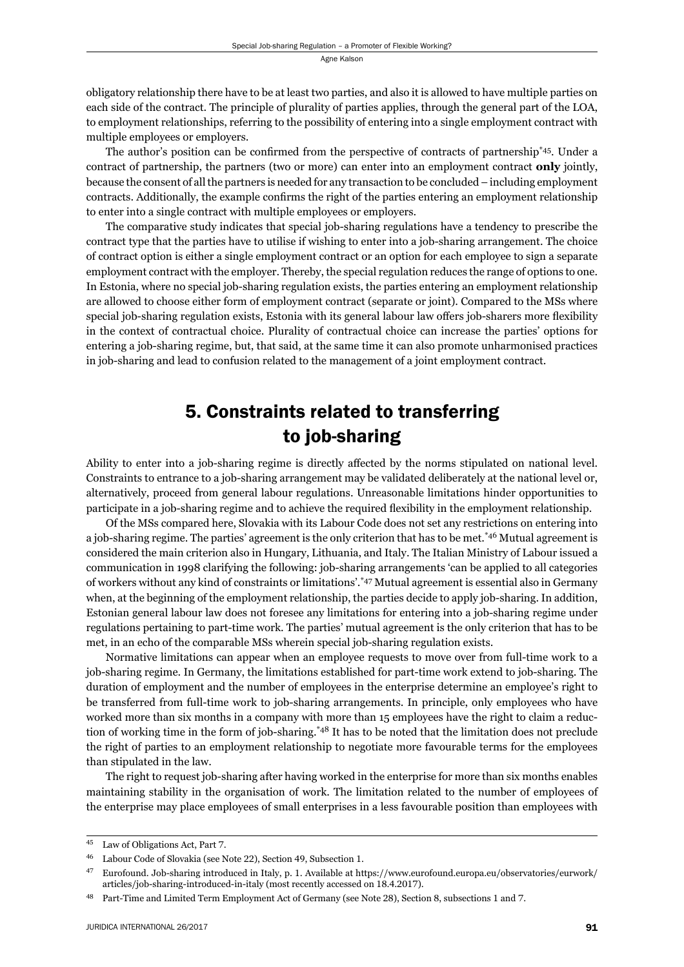obligatory relationship there have to be at least two parties, and also it is allowed to have multiple parties on each side of the contract. The principle of plurality of parties applies, through the general part of the LOA, to employment relationships, referring to the possibility of entering into a single employment contract with multiple employees or employers.

The author's position can be confirmed from the perspective of contracts of partnership\*45. Under a contract of partnership, the partners (two or more) can enter into an employment contract **only** jointly, because the consent of all the partners is needed for any transaction to be concluded – including employment contracts. Additionally, the example confirms the right of the parties entering an employment relationship to enter into a single contract with multiple employees or employers.

The comparative study indicates that special job-sharing regulations have a tendency to prescribe the contract type that the parties have to utilise if wishing to enter into a job-sharing arrangement. The choice of contract option is either a single employment contract or an option for each employee to sign a separate employment contract with the employer. Thereby, the special regulation reduces the range of options to one. In Estonia, where no special job-sharing regulation exists, the parties entering an employment relationship are allowed to choose either form of employment contract (separate or joint). Compared to the MSs where special job-sharing regulation exists, Estonia with its general labour law offers job-sharers more flexibility in the context of contractual choice. Plurality of contractual choice can increase the parties' options for entering a job-sharing regime, but, that said, at the same time it can also promote unharmonised practices in job-sharing and lead to confusion related to the management of a joint employment contract.

## 5. Constraints related to transferring to job-sharing

Ability to enter into a job-sharing regime is directly affected by the norms stipulated on national level. Constraints to entrance to a job-sharing arrangement may be validated deliberately at the national level or, alternatively, proceed from general labour regulations. Unreasonable limitations hinder opportunities to participate in a job-sharing regime and to achieve the required flexibility in the employment relationship.

Of the MSs compared here, Slovakia with its Labour Code does not set any restrictions on entering into a job-sharing regime. The parties' agreement is the only criterion that has to be met.\*46 Mutual agreement is considered the main criterion also in Hungary, Lithuania, and Italy. The Italian Ministry of Labour issued a communication in 1998 clarifying the following: job-sharing arrangements 'can be applied to all categories of workers without any kind of constraints or limitations'.\*47 Mutual agreement is essential also in Germany when, at the beginning of the employment relationship, the parties decide to apply job-sharing. In addition, Estonian general labour law does not foresee any limitations for entering into a job-sharing regime under regulations pertaining to part-time work. The parties' mutual agreement is the only criterion that has to be met, in an echo of the comparable MSs wherein special job-sharing regulation exists.

Normative limitations can appear when an employee requests to move over from full-time work to a job-sharing regime. In Germany, the limitations established for part-time work extend to job-sharing. The duration of employment and the number of employees in the enterprise determine an employee's right to be transferred from full-time work to job-sharing arrangements. In principle, only employees who have worked more than six months in a company with more than 15 employees have the right to claim a reduction of working time in the form of job-sharing.\*48 It has to be noted that the limitation does not preclude the right of parties to an employment relationship to negotiate more favourable terms for the employees than stipulated in the law.

The right to request job-sharing after having worked in the enterprise for more than six months enables maintaining stability in the organisation of work. The limitation related to the number of employees of the enterprise may place employees of small enterprises in a less favourable position than employees with

<sup>&</sup>lt;sup>45</sup> Law of Obligations Act, Part 7.

<sup>&</sup>lt;sup>46</sup> Labour Code of Slovakia (see Note 22), Section 49, Subsection 1.

<sup>&</sup>lt;sup>47</sup> Eurofound. Job-sharing introduced in Italy, p. 1. Available at https://www.eurofound.europa.eu/observatories/eurwork/ articles/job-sharing-introduced-in-italy (most recently accessed on 18.4.2017).

<sup>&</sup>lt;sup>48</sup> Part-Time and Limited Term Employment Act of Germany (see Note 28), Section 8, subsections 1 and 7.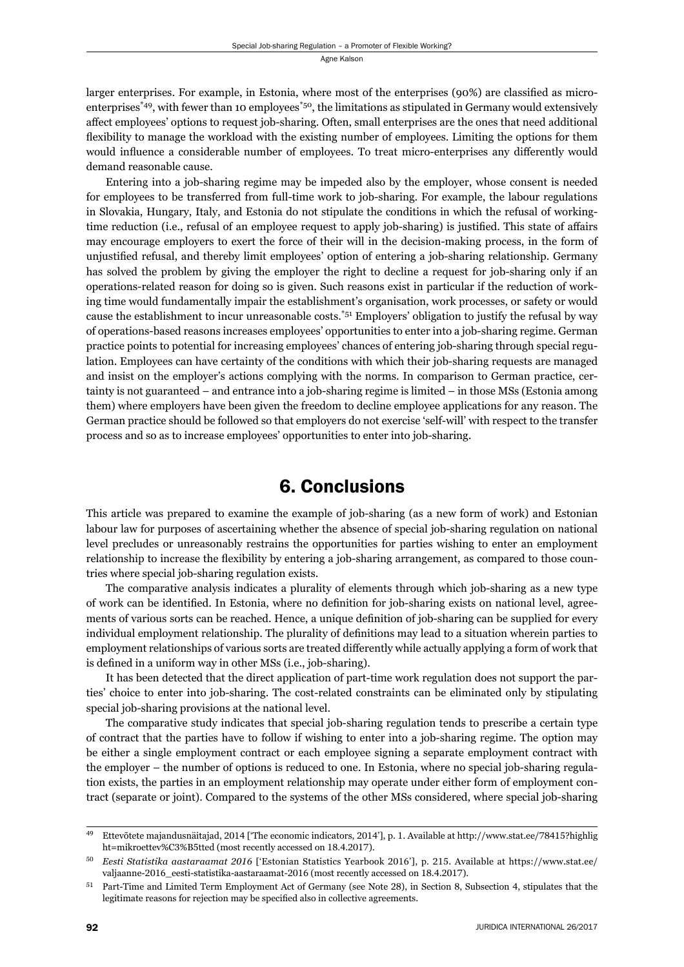larger enterprises. For example, in Estonia, where most of the enterprises (90%) are classified as microenterprises\*49, with fewer than 10 employees\*50, the limitations as stipulated in Germany would extensively affect employees' options to request job-sharing. Often, small enterprises are the ones that need additional flexibility to manage the workload with the existing number of employees. Limiting the options for them would influence a considerable number of employees. To treat micro-enterprises any differently would demand reasonable cause.

Entering into a job-sharing regime may be impeded also by the employer, whose consent is needed for employees to be transferred from full-time work to job-sharing. For example, the labour regulations in Slovakia, Hungary, Italy, and Estonia do not stipulate the conditions in which the refusal of workingtime reduction (i.e., refusal of an employee request to apply job-sharing) is justified. This state of affairs may encourage employers to exert the force of their will in the decision-making process, in the form of unjustified refusal, and thereby limit employees' option of entering a job-sharing relationship. Germany has solved the problem by giving the employer the right to decline a request for job-sharing only if an operations-related reason for doing so is given. Such reasons exist in particular if the reduction of working time would fundamentally impair the establishment's organisation, work processes, or safety or would cause the establishment to incur unreasonable costs.<sup>\*51</sup> Employers' obligation to justify the refusal by way of operations-based reasons increases employees' opportunities to enter into a job-sharing regime. German practice points to potential for increasing employees' chances of entering job-sharing through special regulation. Employees can have certainty of the conditions with which their job-sharing requests are managed and insist on the employer's actions complying with the norms. In comparison to German practice, certainty is not guaranteed – and entrance into a job-sharing regime is limited – in those MSs (Estonia among them) where employers have been given the freedom to decline employee applications for any reason. The German practice should be followed so that employers do not exercise 'self-will' with respect to the transfer process and so as to increase employees' opportunities to enter into job-sharing.

#### 6. Conclusions

This article was prepared to examine the example of job-sharing (as a new form of work) and Estonian labour law for purposes of ascertaining whether the absence of special job-sharing regulation on national level precludes or unreasonably restrains the opportunities for parties wishing to enter an employment relationship to increase the flexibility by entering a job-sharing arrangement, as compared to those countries where special job-sharing regulation exists.

The comparative analysis indicates a plurality of elements through which job-sharing as a new type of work can be identified. In Estonia, where no definition for job-sharing exists on national level, agreements of various sorts can be reached. Hence, a unique definition of job-sharing can be supplied for every individual employment relationship. The plurality of definitions may lead to a situation wherein parties to employment relationships of various sorts are treated differently while actually applying a form of work that is defined in a uniform way in other MSs (i.e., job-sharing).

It has been detected that the direct application of part-time work regulation does not support the parties' choice to enter into job-sharing. The cost-related constraints can be eliminated only by stipulating special job-sharing provisions at the national level.

The comparative study indicates that special job-sharing regulation tends to prescribe a certain type of contract that the parties have to follow if wishing to enter into a job-sharing regime. The option may be either a single employment contract or each employee signing a separate employment contract with the employer – the number of options is reduced to one. In Estonia, where no special job-sharing regulation exists, the parties in an employment relationship may operate under either form of employment contract (separate or joint). Compared to the systems of the other MSs considered, where special job-sharing

<sup>&</sup>lt;sup>49</sup> Ettevõtete majandusnäitajad, 2014 ['The economic indicators, 2014'], p. 1. Available at http://www.stat.ee/78415?highlig ht=mikroettev%C3%B5tted (most recently accessed on 18.4.2017).

<sup>&</sup>lt;sup>50</sup> Eesti Statistika aastaraamat 2016 ['Estonian Statistics Yearbook 2016'], p. 215. Available at https://www.stat.ee/ valjaanne-2016\_eesti-statistika-aastaraamat-2016 (most recently accessed on 18.4.2017).

<sup>51</sup> Part-Time and Limited Term Employment Act of Germany (see Note 28), in Section 8, Subsection 4, stipulates that the legitimate reasons for rejection may be specified also in collective agreements.